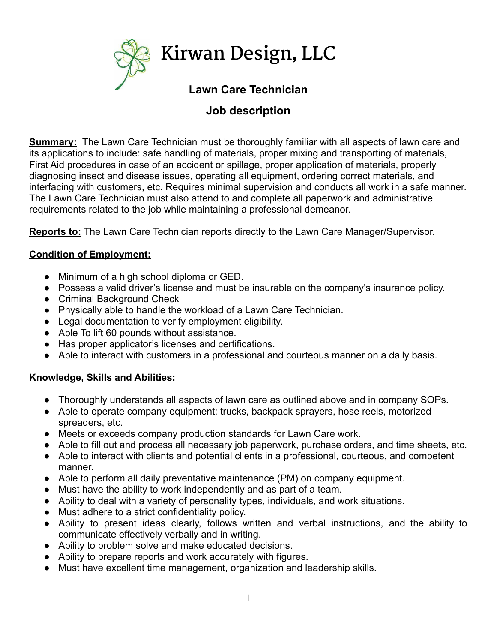

# **Job description**

**Summary:** The Lawn Care Technician must be thoroughly familiar with all aspects of lawn care and its applications to include: safe handling of materials, proper mixing and transporting of materials, First Aid procedures in case of an accident or spillage, proper application of materials, properly diagnosing insect and disease issues, operating all equipment, ordering correct materials, and interfacing with customers, etc. Requires minimal supervision and conducts all work in a safe manner. The Lawn Care Technician must also attend to and complete all paperwork and administrative requirements related to the job while maintaining a professional demeanor.

**Reports to:** The Lawn Care Technician reports directly to the Lawn Care Manager/Supervisor.

## **Condition of Employment:**

- Minimum of a high school diploma or GED.
- Possess a valid driver's license and must be insurable on the company's insurance policy.
- Criminal Background Check
- Physically able to handle the workload of a Lawn Care Technician.
- Legal documentation to verify employment eligibility.
- Able To lift 60 pounds without assistance.
- Has proper applicator's licenses and certifications.
- Able to interact with customers in a professional and courteous manner on a daily basis.

## **Knowledge, Skills and Abilities:**

- Thoroughly understands all aspects of lawn care as outlined above and in company SOPs.
- Able to operate company equipment: trucks, backpack sprayers, hose reels, motorized spreaders, etc.
- Meets or exceeds company production standards for Lawn Care work.
- Able to fill out and process all necessary job paperwork, purchase orders, and time sheets, etc.
- Able to interact with clients and potential clients in a professional, courteous, and competent manner.
- Able to perform all daily preventative maintenance (PM) on company equipment.
- Must have the ability to work independently and as part of a team.
- Ability to deal with a variety of personality types, individuals, and work situations.
- Must adhere to a strict confidentiality policy.
- Ability to present ideas clearly, follows written and verbal instructions, and the ability to communicate effectively verbally and in writing.
- Ability to problem solve and make educated decisions.
- Ability to prepare reports and work accurately with figures.
- Must have excellent time management, organization and leadership skills.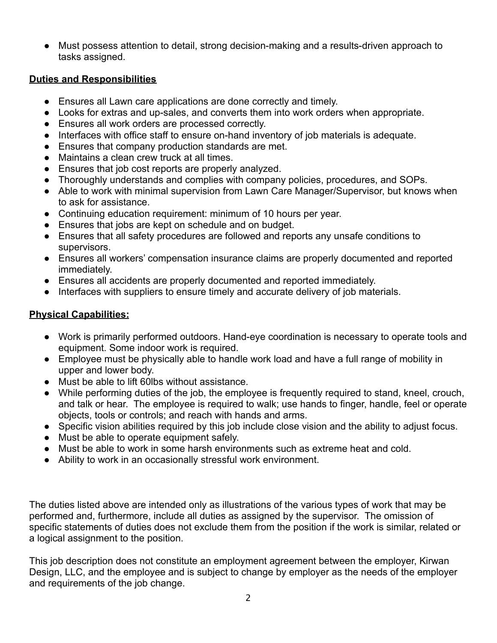● Must possess attention to detail, strong decision-making and a results-driven approach to tasks assigned.

## **Duties and Responsibilities**

- Ensures all Lawn care applications are done correctly and timely.
- Looks for extras and up-sales, and converts them into work orders when appropriate.
- Ensures all work orders are processed correctly.
- Interfaces with office staff to ensure on-hand inventory of job materials is adequate.
- Ensures that company production standards are met.
- Maintains a clean crew truck at all times.
- Ensures that job cost reports are properly analyzed.
- Thoroughly understands and complies with company policies, procedures, and SOPs.
- Able to work with minimal supervision from Lawn Care Manager/Supervisor, but knows when to ask for assistance.
- Continuing education requirement: minimum of 10 hours per year.
- Ensures that jobs are kept on schedule and on budget.
- Ensures that all safety procedures are followed and reports any unsafe conditions to supervisors.
- Ensures all workers' compensation insurance claims are properly documented and reported immediately.
- Ensures all accidents are properly documented and reported immediately.
- Interfaces with suppliers to ensure timely and accurate delivery of job materials.

## **Physical Capabilities:**

- Work is primarily performed outdoors. Hand-eye coordination is necessary to operate tools and equipment. Some indoor work is required.
- Employee must be physically able to handle work load and have a full range of mobility in upper and lower body.
- Must be able to lift 60lbs without assistance.
- While performing duties of the job, the employee is frequently required to stand, kneel, crouch, and talk or hear. The employee is required to walk; use hands to finger, handle, feel or operate objects, tools or controls; and reach with hands and arms.
- Specific vision abilities required by this job include close vision and the ability to adjust focus.
- Must be able to operate equipment safely.
- Must be able to work in some harsh environments such as extreme heat and cold.
- Ability to work in an occasionally stressful work environment.

The duties listed above are intended only as illustrations of the various types of work that may be performed and, furthermore, include all duties as assigned by the supervisor. The omission of specific statements of duties does not exclude them from the position if the work is similar, related or a logical assignment to the position.

This job description does not constitute an employment agreement between the employer, Kirwan Design, LLC, and the employee and is subject to change by employer as the needs of the employer and requirements of the job change.